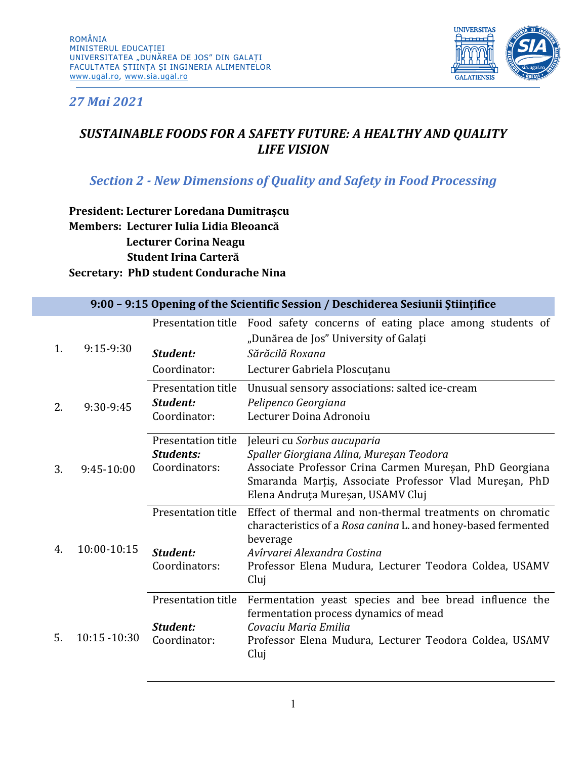

*27 Mai 2021*

## *SUSTAINABLE FOODS FOR A SAFETY FUTURE: A HEALTHY AND QUALITY LIFE VISION*

## *Section 2 - New Dimensions of Quality and Safety in Food Processing*

**President: Lecturer Loredana Dumitrașcu Members: Lecturer Iulia Lidia Bleoancă Lecturer Corina Neagu Student Irina Carteră Secretary: PhD student Condurache Nina**

|    | 9:00 - 9:15 Opening of the Scientific Session / Deschiderea Sesiunii Stiințifice |                                                         |                                                                                                                                                                                                                                         |  |  |  |
|----|----------------------------------------------------------------------------------|---------------------------------------------------------|-----------------------------------------------------------------------------------------------------------------------------------------------------------------------------------------------------------------------------------------|--|--|--|
| 1. | $9:15-9:30$                                                                      | Presentation title<br>Student:                          | Food safety concerns of eating place among students of<br>"Dunărea de Jos" University of Galați<br>Sărăcilă Roxana                                                                                                                      |  |  |  |
|    |                                                                                  | Coordinator:                                            | Lecturer Gabriela Ploscuțanu                                                                                                                                                                                                            |  |  |  |
| 2. | 9:30-9:45                                                                        | Presentation title<br>Student:<br>Coordinator:          | Unusual sensory associations: salted ice-cream<br>Pelipenco Georgiana<br>Lecturer Doina Adronoiu                                                                                                                                        |  |  |  |
| 3. | 9:45-10:00                                                                       | Presentation title<br><b>Students:</b><br>Coordinators: | Jeleuri cu Sorbus aucuparia<br>Spaller Giorgiana Alina, Mureșan Teodora<br>Associate Professor Crina Carmen Mureșan, PhD Georgiana<br>Smaranda Marțiș, Associate Professor Vlad Mureșan, PhD<br>Elena Andruța Mureșan, USAMV Cluj       |  |  |  |
| 4. | 10:00-10:15                                                                      | Presentation title<br>Student:<br>Coordinators:         | Effect of thermal and non-thermal treatments on chromatic<br>characteristics of a Rosa canina L. and honey-based fermented<br>beverage<br>Avîrvarei Alexandra Costina<br>Professor Elena Mudura, Lecturer Teodora Coldea, USAMV<br>Cluj |  |  |  |
| 5. | 10:15 -10:30                                                                     | Presentation title<br>Student:<br>Coordinator:          | Fermentation yeast species and bee bread influence the<br>fermentation process dynamics of mead<br>Covaciu Maria Emilia<br>Professor Elena Mudura, Lecturer Teodora Coldea, USAMV<br>Cluj                                               |  |  |  |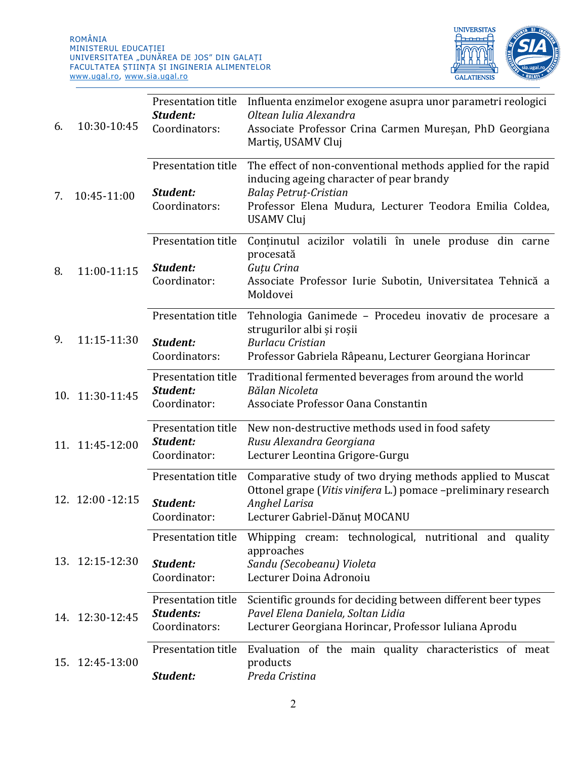

| 6. | 10:30-10:45       | Presentation title<br>Student:<br>Coordinators:         | Influenta enzimelor exogene asupra unor parametri reologici<br>Oltean Iulia Alexandra<br>Associate Professor Crina Carmen Mureșan, PhD Georgiana<br>Martis, USAMV Cluj                                     |
|----|-------------------|---------------------------------------------------------|------------------------------------------------------------------------------------------------------------------------------------------------------------------------------------------------------------|
| 7. | 10:45-11:00       | Presentation title<br>Student:<br>Coordinators:         | The effect of non-conventional methods applied for the rapid<br>inducing ageing character of pear brandy<br>Balaș Petruț-Cristian<br>Professor Elena Mudura, Lecturer Teodora Emilia Coldea,<br>USAMV Cluj |
| 8. | 11:00-11:15       | Presentation title<br>Student:<br>Coordinator:          | Continutul acizilor volatili în unele produse din carne<br>procesată<br>Guțu Crina<br>Associate Professor Iurie Subotin, Universitatea Tehnică a<br>Moldovei                                               |
| 9. | 11:15-11:30       | Presentation title<br>Student:<br>Coordinators:         | Tehnologia Ganimede - Procedeu inovativ de procesare a<br>strugurilor albi și roșii<br><b>Burlacu Cristian</b><br>Professor Gabriela Râpeanu, Lecturer Georgiana Horincar                                  |
|    | 10. 11:30-11:45   | Presentation title<br>Student:<br>Coordinator:          | Traditional fermented beverages from around the world<br>Bălan Nicoleta<br>Associate Professor Oana Constantin                                                                                             |
|    | 11. 11:45-12:00   | Presentation title<br>Student:<br>Coordinator:          | New non-destructive methods used in food safety<br>Rusu Alexandra Georgiana<br>Lecturer Leontina Grigore-Gurgu                                                                                             |
|    | 12. 12:00 - 12:15 | Presentation title<br>Student:<br>Coordinator:          | Comparative study of two drying methods applied to Muscat<br>Ottonel grape (Vitis vinifera L.) pomace -preliminary research<br>Anghel Larisa<br>Lecturer Gabriel-Dănut MOCANU                              |
|    | 13. 12:15-12:30   | Presentation title<br>Student:<br>Coordinator:          | Whipping cream: technological, nutritional and quality<br>approaches<br>Sandu (Secobeanu) Violeta<br>Lecturer Doina Adronoiu                                                                               |
|    | 14. 12:30-12:45   | Presentation title<br><b>Students:</b><br>Coordinators: | Scientific grounds for deciding between different beer types<br>Pavel Elena Daniela, Soltan Lidia<br>Lecturer Georgiana Horincar, Professor Iuliana Aprodu                                                 |
|    | 15. 12:45-13:00   | Presentation title<br>Student:                          | Evaluation of the main quality characteristics of meat<br>products<br>Preda Cristina                                                                                                                       |